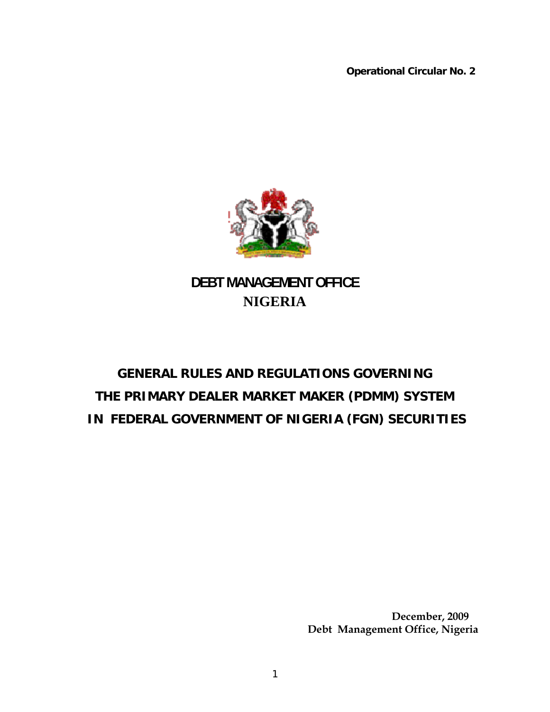**Operational Circular No. 2** 



**DEBT MANAGEMENT OFFICE NIGERIA** 

# **GENERAL RULES AND REGULATIONS GOVERNING THE PRIMARY DEALER MARKET MAKER (PDMM) SYSTEM IN FEDERAL GOVERNMENT OF NIGERIA (FGN) SECURITIES**

 **December, 2009 Debt Management Office, Nigeria**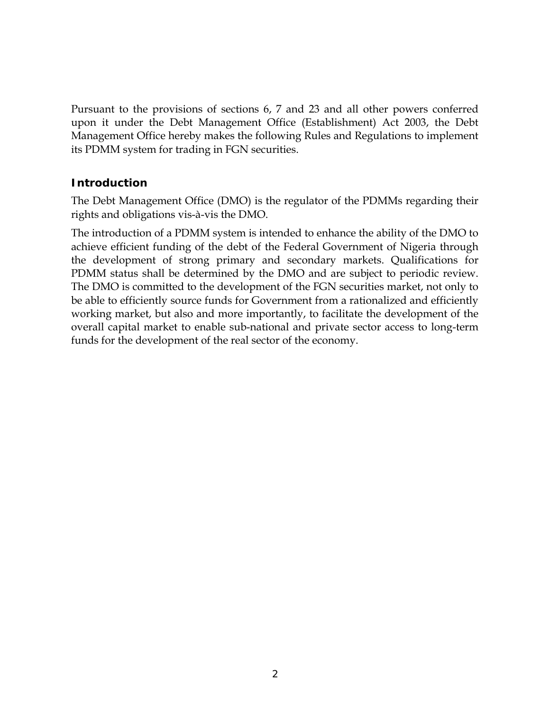Pursuant to the provisions of sections 6, 7 and 23 and all other powers conferred upon it under the Debt Management Office (Establishment) Act 2003, the Debt Management Office hereby makes the following Rules and Regulations to implement its PDMM system for trading in FGN securities.

## **Introduction**

The Debt Management Office (DMO) is the regulator of the PDMMs regarding their rights and obligations vis-à-vis the DMO.

The introduction of a PDMM system is intended to enhance the ability of the DMO to achieve efficient funding of the debt of the Federal Government of Nigeria through the development of strong primary and secondary markets. Qualifications for PDMM status shall be determined by the DMO and are subject to periodic review. The DMO is committed to the development of the FGN securities market, not only to be able to efficiently source funds for Government from a rationalized and efficiently working market, but also and more importantly, to facilitate the development of the overall capital market to enable sub-national and private sector access to long-term funds for the development of the real sector of the economy.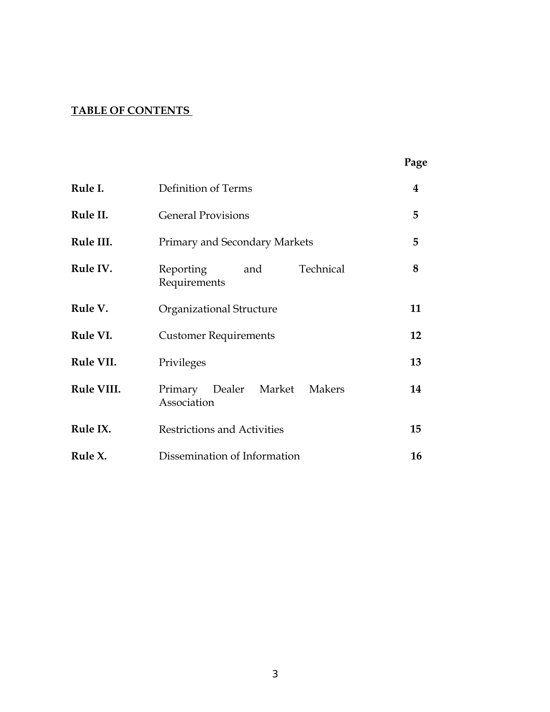# **TABLE OF CONTENTS**

|            |                                               | Page |
|------------|-----------------------------------------------|------|
| Rule I.    | Definition of Terms                           | 4    |
| Rule II.   | <b>General Provisions</b>                     | 5    |
| Rule III.  | Primary and Secondary Markets                 | 5    |
| Rule IV.   | Technical<br>Reporting<br>and<br>Requirements | 8    |
| Rule V.    | Organizational Structure                      | 11   |
| Rule VI.   | <b>Customer Requirements</b>                  | 12   |
| Rule VII.  | Privileges                                    | 13   |
| Rule VIII. | Primary Dealer Market Makers<br>Association   | 14   |
| Rule IX.   | <b>Restrictions and Activities</b>            | 15   |
| Rule X.    | Dissemination of Information                  | 16   |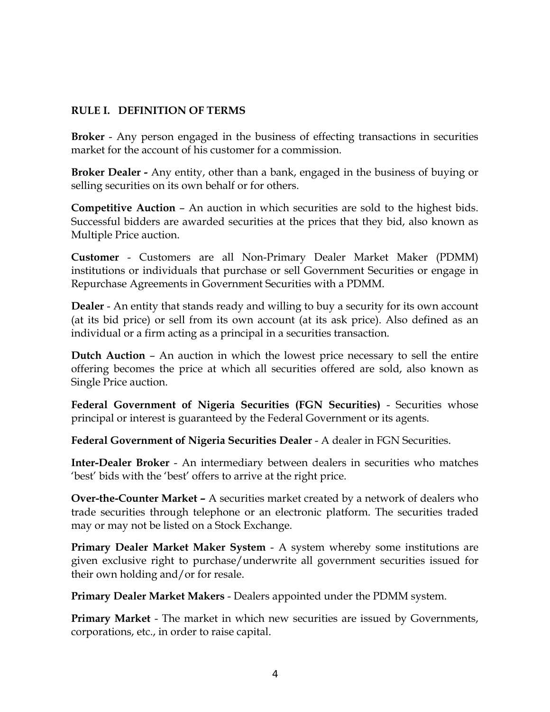#### **RULE I. DEFINITION OF TERMS**

**Broker** - Any person engaged in the business of effecting transactions in securities market for the account of his customer for a commission.

**Broker Dealer -** Any entity, other than a bank, engaged in the business of buying or selling securities on its own behalf or for others.

**Competitive Auction** – An auction in which securities are sold to the highest bids. Successful bidders are awarded securities at the prices that they bid, also known as Multiple Price auction.

**Customer** - Customers are all Non-Primary Dealer Market Maker (PDMM) institutions or individuals that purchase or sell Government Securities or engage in Repurchase Agreements in Government Securities with a PDMM.

**Dealer** - An entity that stands ready and willing to buy a security for its own account (at its bid price) or sell from its own account (at its ask price). Also defined as an individual or a firm acting as a principal in a securities transaction.

**Dutch Auction** – An auction in which the lowest price necessary to sell the entire offering becomes the price at which all securities offered are sold, also known as Single Price auction.

**Federal Government of Nigeria Securities (FGN Securities)** - Securities whose principal or interest is guaranteed by the Federal Government or its agents.

**Federal Government of Nigeria Securities Dealer** - A dealer in FGN Securities.

**Inter-Dealer Broker** - An intermediary between dealers in securities who matches 'best' bids with the 'best' offers to arrive at the right price.

**Over-the-Counter Market –** A securities market created by a network of dealers who trade securities through telephone or an electronic platform. The securities traded may or may not be listed on a Stock Exchange.

**Primary Dealer Market Maker System** - A system whereby some institutions are given exclusive right to purchase/underwrite all government securities issued for their own holding and/or for resale.

**Primary Dealer Market Makers** - Dealers appointed under the PDMM system.

**Primary Market -** The market in which new securities are issued by Governments, corporations, etc., in order to raise capital.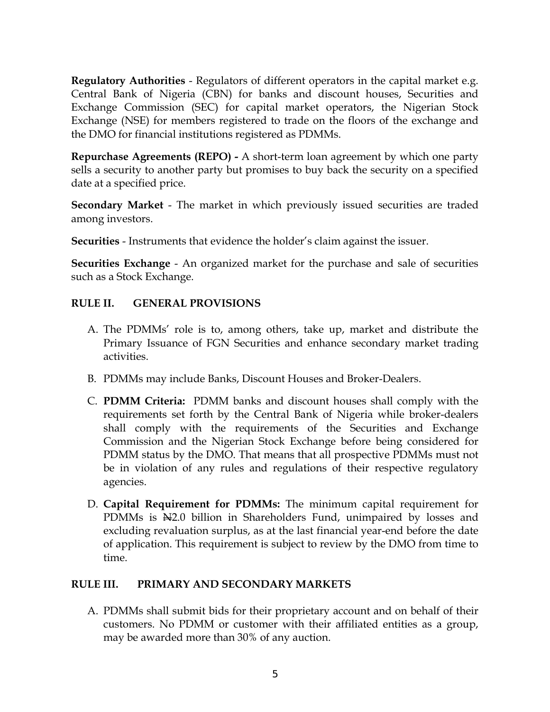**Regulatory Authorities** - Regulators of different operators in the capital market e.g. Central Bank of Nigeria (CBN) for banks and discount houses, Securities and Exchange Commission (SEC) for capital market operators, the Nigerian Stock Exchange (NSE) for members registered to trade on the floors of the exchange and the DMO for financial institutions registered as PDMMs.

**Repurchase Agreements (REPO) -** A short-term loan agreement by which one party sells a security to another party but promises to buy back the security on a specified date at a specified price.

**Secondary Market** - The market in which previously issued securities are traded among investors.

**Securities** - Instruments that evidence the holder's claim against the issuer.

**Securities Exchange** - An organized market for the purchase and sale of securities such as a Stock Exchange.

# **RULE II. GENERAL PROVISIONS**

- A. The PDMMs' role is to, among others, take up, market and distribute the Primary Issuance of FGN Securities and enhance secondary market trading activities.
- B. PDMMs may include Banks, Discount Houses and Broker-Dealers.
- C. **PDMM Criteria:** PDMM banks and discount houses shall comply with the requirements set forth by the Central Bank of Nigeria while broker-dealers shall comply with the requirements of the Securities and Exchange Commission and the Nigerian Stock Exchange before being considered for PDMM status by the DMO. That means that all prospective PDMMs must not be in violation of any rules and regulations of their respective regulatory agencies.
- D. **Capital Requirement for PDMMs:** The minimum capital requirement for PDMMs is  $\mathbb{H}^{2,0}$  billion in Shareholders Fund, unimpaired by losses and excluding revaluation surplus, as at the last financial year-end before the date of application. This requirement is subject to review by the DMO from time to time.

# **RULE III. PRIMARY AND SECONDARY MARKETS**

A. PDMMs shall submit bids for their proprietary account and on behalf of their customers. No PDMM or customer with their affiliated entities as a group, may be awarded more than 30% of any auction.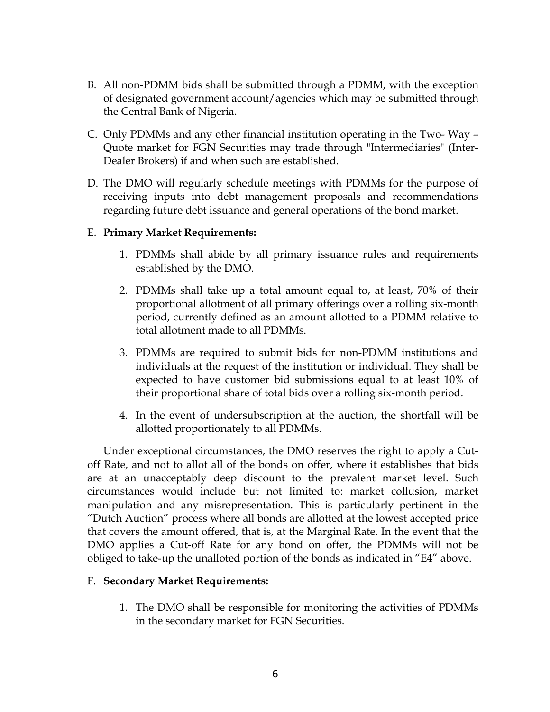- B. All non-PDMM bids shall be submitted through a PDMM, with the exception of designated government account/agencies which may be submitted through the Central Bank of Nigeria.
- C. Only PDMMs and any other financial institution operating in the Two- Way Quote market for FGN Securities may trade through "Intermediaries" (Inter-Dealer Brokers) if and when such are established.
- D. The DMO will regularly schedule meetings with PDMMs for the purpose of receiving inputs into debt management proposals and recommendations regarding future debt issuance and general operations of the bond market.

## E. **Primary Market Requirements:**

- 1. PDMMs shall abide by all primary issuance rules and requirements established by the DMO.
- 2. PDMMs shall take up a total amount equal to, at least, 70% of their proportional allotment of all primary offerings over a rolling six-month period, currently defined as an amount allotted to a PDMM relative to total allotment made to all PDMMs.
- 3. PDMMs are required to submit bids for non-PDMM institutions and individuals at the request of the institution or individual. They shall be expected to have customer bid submissions equal to at least 10% of their proportional share of total bids over a rolling six-month period.
- 4. In the event of undersubscription at the auction, the shortfall will be allotted proportionately to all PDMMs.

 Under exceptional circumstances, the DMO reserves the right to apply a Cutoff Rate, and not to allot all of the bonds on offer, where it establishes that bids are at an unacceptably deep discount to the prevalent market level. Such circumstances would include but not limited to: market collusion, market manipulation and any misrepresentation. This is particularly pertinent in the "Dutch Auction" process where all bonds are allotted at the lowest accepted price that covers the amount offered, that is, at the Marginal Rate. In the event that the DMO applies a Cut-off Rate for any bond on offer, the PDMMs will not be obliged to take-up the unalloted portion of the bonds as indicated in "E4" above.

#### F. **Secondary Market Requirements:**

1. The DMO shall be responsible for monitoring the activities of PDMMs in the secondary market for FGN Securities.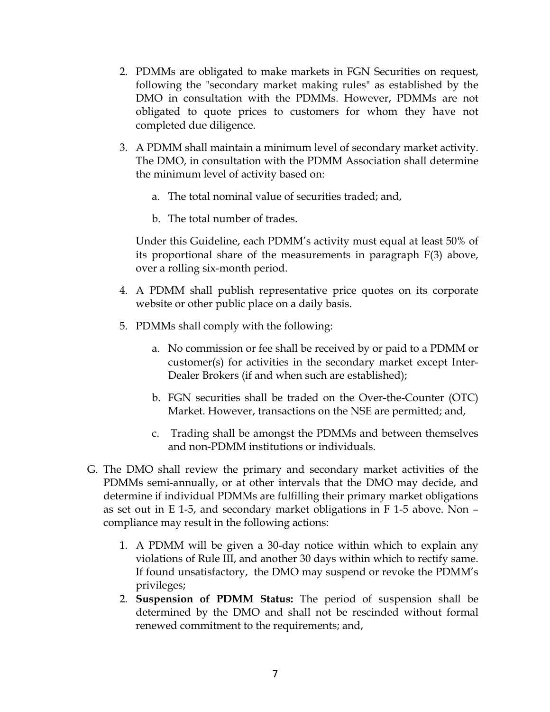- 2. PDMMs are obligated to make markets in FGN Securities on request, following the "secondary market making rules" as established by the DMO in consultation with the PDMMs. However, PDMMs are not obligated to quote prices to customers for whom they have not completed due diligence.
- 3. A PDMM shall maintain a minimum level of secondary market activity. The DMO, in consultation with the PDMM Association shall determine the minimum level of activity based on:
	- a. The total nominal value of securities traded; and,
	- b. The total number of trades.

Under this Guideline, each PDMM's activity must equal at least 50% of its proportional share of the measurements in paragraph F(3) above, over a rolling six-month period.

- 4. A PDMM shall publish representative price quotes on its corporate website or other public place on a daily basis.
- 5. PDMMs shall comply with the following:
	- a. No commission or fee shall be received by or paid to a PDMM or customer(s) for activities in the secondary market except Inter-Dealer Brokers (if and when such are established);
	- b. FGN securities shall be traded on the Over-the-Counter (OTC) Market. However, transactions on the NSE are permitted; and,
	- c. Trading shall be amongst the PDMMs and between themselves and non-PDMM institutions or individuals.
- G. The DMO shall review the primary and secondary market activities of the PDMMs semi-annually, or at other intervals that the DMO may decide, and determine if individual PDMMs are fulfilling their primary market obligations as set out in E 1-5, and secondary market obligations in F 1-5 above. Non – compliance may result in the following actions:
	- 1. A PDMM will be given a 30-day notice within which to explain any violations of Rule III, and another 30 days within which to rectify same. If found unsatisfactory, the DMO may suspend or revoke the PDMM's privileges;
	- 2. **Suspension of PDMM Status:** The period of suspension shall be determined by the DMO and shall not be rescinded without formal renewed commitment to the requirements; and,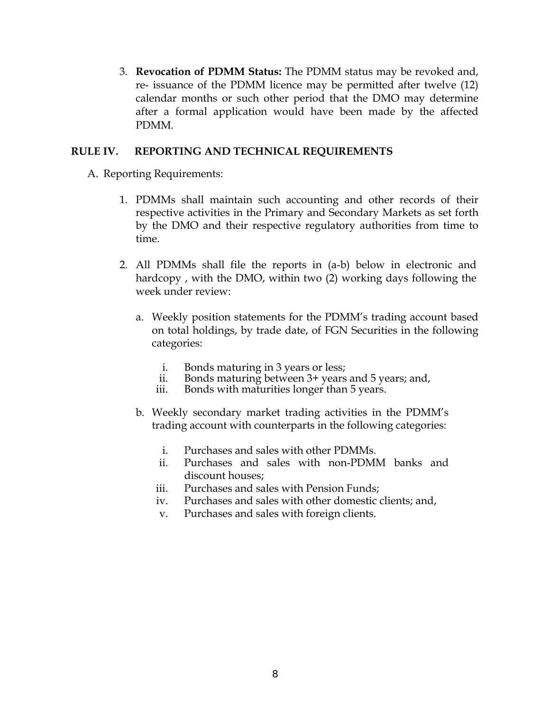3. **Revocation of PDMM Status:** The PDMM status may be revoked and, re- issuance of the PDMM licence may be permitted after twelve (12) calendar months or such other period that the DMO may determine after a formal application would have been made by the affected PDMM.

#### **RULE IV. REPORTING AND TECHNICAL REQUIREMENTS**

- A. Reporting Requirements:
	- 1. PDMMs shall maintain such accounting and other records of their respective activities in the Primary and Secondary Markets as set forth by the DMO and their respective regulatory authorities from time to time.
	- 2. All PDMMs shall file the reports in (a-b) below in electronic and hardcopy , with the DMO, within two (2) working days following the week under review:
		- a. Weekly position statements for the PDMM's trading account based on total holdings, by trade date, of FGN Securities in the following categories:
			- i. Bonds maturing in 3 years or less;
			- ii. Bonds maturing between 3+ years and 5 years; and,
			- iii. Bonds with maturities longer than 5 years.
		- b. Weekly secondary market trading activities in the PDMM's trading account with counterparts in the following categories:
			- i. Purchases and sales with other PDMMs.
			- ii. Purchases and sales with non-PDMM banks and discount houses;
			- iii. Purchases and sales with Pension Funds;
			- iv. Purchases and sales with other domestic clients; and,
			- v. Purchases and sales with foreign clients.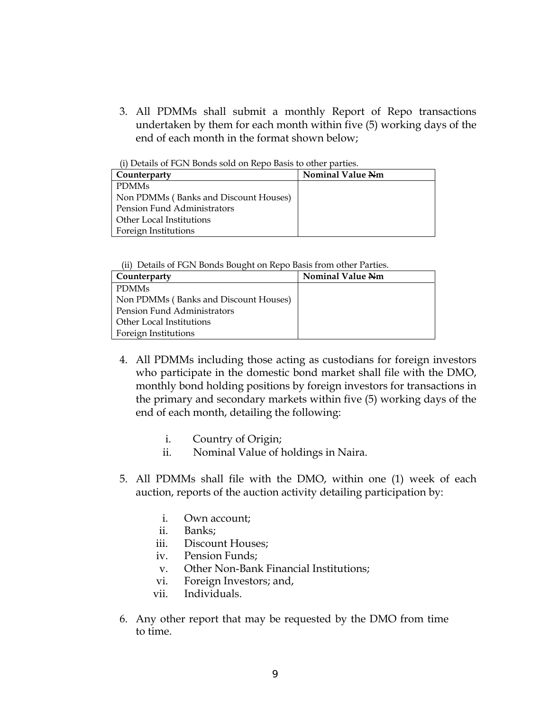3. All PDMMs shall submit a monthly Report of Repo transactions undertaken by them for each month within five (5) working days of the end of each month in the format shown below;

(i) Details of FGN Bonds sold on Repo Basis to other parties.

| Counterparty                          | <b>Nominal Value Nm</b> |
|---------------------------------------|-------------------------|
| l PDMMs                               |                         |
| Non PDMMs (Banks and Discount Houses) |                         |
| l Pension Fund Administrators         |                         |
| l Other Local Institutions            |                         |
| Foreign Institutions                  |                         |

(ii) Details of FGN Bonds Bought on Repo Basis from other Parties.

| Counterparty                          | <b>Nominal Value Nm</b> |
|---------------------------------------|-------------------------|
| <b>PDMMs</b>                          |                         |
| Non PDMMs (Banks and Discount Houses) |                         |
| Pension Fund Administrators           |                         |
| Other Local Institutions              |                         |
| Foreign Institutions                  |                         |

- 4. All PDMMs including those acting as custodians for foreign investors who participate in the domestic bond market shall file with the DMO, monthly bond holding positions by foreign investors for transactions in the primary and secondary markets within five (5) working days of the end of each month, detailing the following:
	- i. Country of Origin;
	- ii. Nominal Value of holdings in Naira.
- 5. All PDMMs shall file with the DMO, within one (1) week of each auction, reports of the auction activity detailing participation by:
	- i. Own account;
	- ii. Banks;
	- iii. Discount Houses;
	- iv. Pension Funds;
	- v. Other Non-Bank Financial Institutions;
	- vi. Foreign Investors; and,
	- vii. Individuals.
- 6. Any other report that may be requested by the DMO from time to time.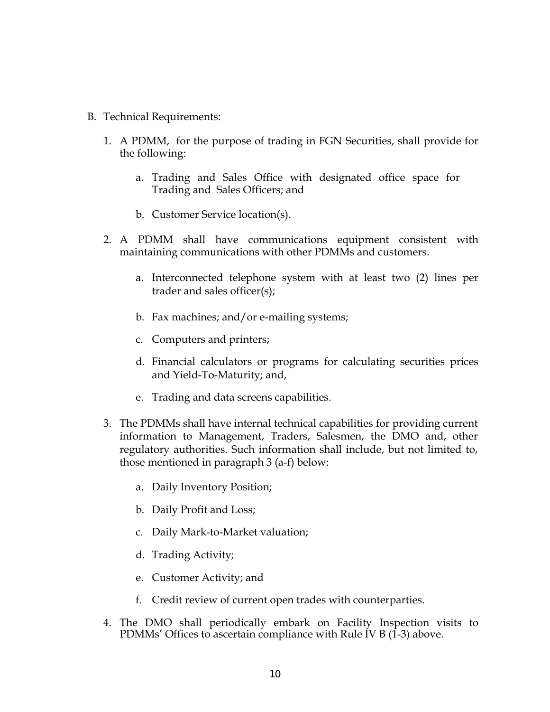- B. Technical Requirements:
	- 1. A PDMM, for the purpose of trading in FGN Securities, shall provide for the following:
		- a. Trading and Sales Office with designated office space for Trading and Sales Officers; and
		- b. Customer Service location(s).
	- 2. A PDMM shall have communications equipment consistent with maintaining communications with other PDMMs and customers.
		- a. Interconnected telephone system with at least two (2) lines per trader and sales officer(s);
		- b. Fax machines; and/or e-mailing systems;
		- c. Computers and printers;
		- d. Financial calculators or programs for calculating securities prices and Yield-To-Maturity; and,
		- e. Trading and data screens capabilities.
	- 3. The PDMMs shall have internal technical capabilities for providing current information to Management, Traders, Salesmen, the DMO and, other regulatory authorities. Such information shall include, but not limited to, those mentioned in paragraph 3 (a-f) below:
		- a. Daily Inventory Position;
		- b. Daily Profit and Loss;
		- c. Daily Mark-to-Market valuation;
		- d. Trading Activity;
		- e. Customer Activity; and
		- f. Credit review of current open trades with counterparties.
	- 4. The DMO shall periodically embark on Facility Inspection visits to PDMMs' Offices to ascertain compliance with Rule IV B (1-3) above.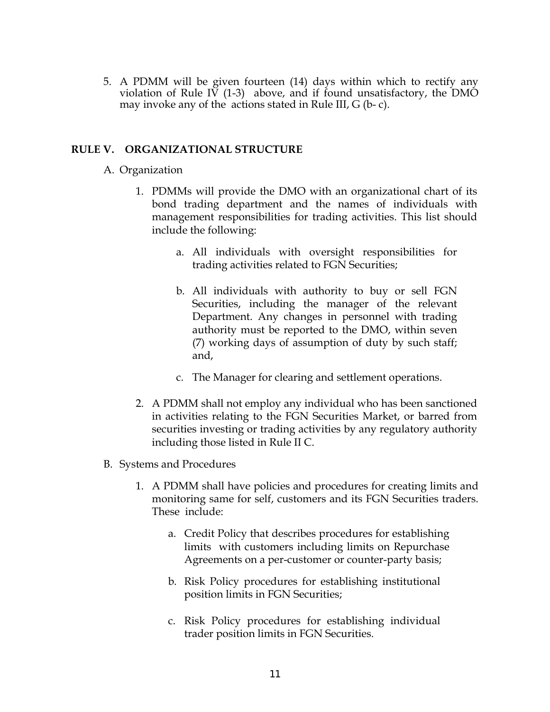5. A PDMM will be given fourteen (14) days within which to rectify any violation of Rule IV  $(1-3)$  above, and if found unsatisfactory, the DMO may invoke any of the actions stated in Rule III, G (b- c).

#### **RULE V. ORGANIZATIONAL STRUCTURE**

#### A. Organization

- 1. PDMMs will provide the DMO with an organizational chart of its bond trading department and the names of individuals with management responsibilities for trading activities. This list should include the following:
	- a. All individuals with oversight responsibilities for trading activities related to FGN Securities;
	- b. All individuals with authority to buy or sell FGN Securities, including the manager of the relevant Department. Any changes in personnel with trading authority must be reported to the DMO, within seven (7) working days of assumption of duty by such staff; and,
	- c. The Manager for clearing and settlement operations.
- 2. A PDMM shall not employ any individual who has been sanctioned in activities relating to the FGN Securities Market, or barred from securities investing or trading activities by any regulatory authority including those listed in Rule II C.
- B. Systems and Procedures
	- 1. A PDMM shall have policies and procedures for creating limits and monitoring same for self, customers and its FGN Securities traders. These include:
		- a. Credit Policy that describes procedures for establishing limits with customers including limits on Repurchase Agreements on a per-customer or counter-party basis;
		- b. Risk Policy procedures for establishing institutional position limits in FGN Securities;
		- c. Risk Policy procedures for establishing individual trader position limits in FGN Securities.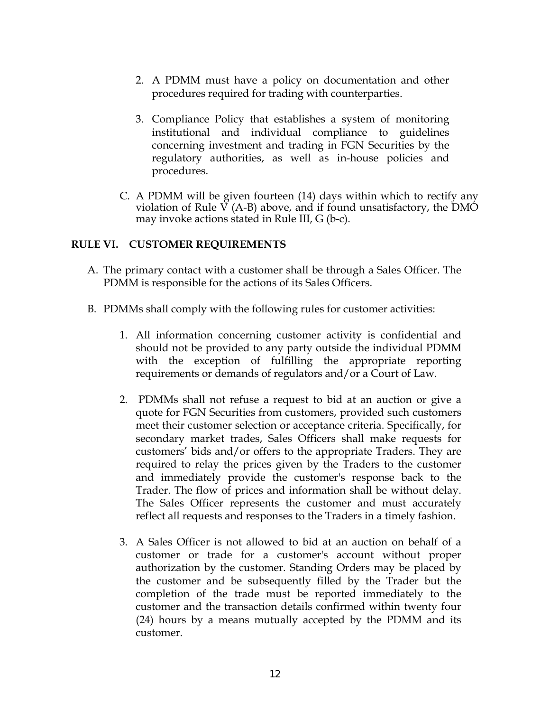- 2. A PDMM must have a policy on documentation and other procedures required for trading with counterparties.
- 3. Compliance Policy that establishes a system of monitoring institutional and individual compliance to guidelines concerning investment and trading in FGN Securities by the regulatory authorities, as well as in-house policies and procedures.
- C. A PDMM will be given fourteen (14) days within which to rectify any violation of Rule  $\overline{V}$  (A-B) above, and if found unsatisfactory, the DMO may invoke actions stated in Rule III, G (b-c).

#### **RULE VI. CUSTOMER REQUIREMENTS**

- A. The primary contact with a customer shall be through a Sales Officer. The PDMM is responsible for the actions of its Sales Officers.
- B. PDMMs shall comply with the following rules for customer activities:
	- 1. All information concerning customer activity is confidential and should not be provided to any party outside the individual PDMM with the exception of fulfilling the appropriate reporting requirements or demands of regulators and/or a Court of Law.
	- 2. PDMMs shall not refuse a request to bid at an auction or give a quote for FGN Securities from customers, provided such customers meet their customer selection or acceptance criteria. Specifically, for secondary market trades, Sales Officers shall make requests for customers' bids and/or offers to the appropriate Traders. They are required to relay the prices given by the Traders to the customer and immediately provide the customer's response back to the Trader. The flow of prices and information shall be without delay. The Sales Officer represents the customer and must accurately reflect all requests and responses to the Traders in a timely fashion.
	- 3. A Sales Officer is not allowed to bid at an auction on behalf of a customer or trade for a customer's account without proper authorization by the customer. Standing Orders may be placed by the customer and be subsequently filled by the Trader but the completion of the trade must be reported immediately to the customer and the transaction details confirmed within twenty four (24) hours by a means mutually accepted by the PDMM and its customer.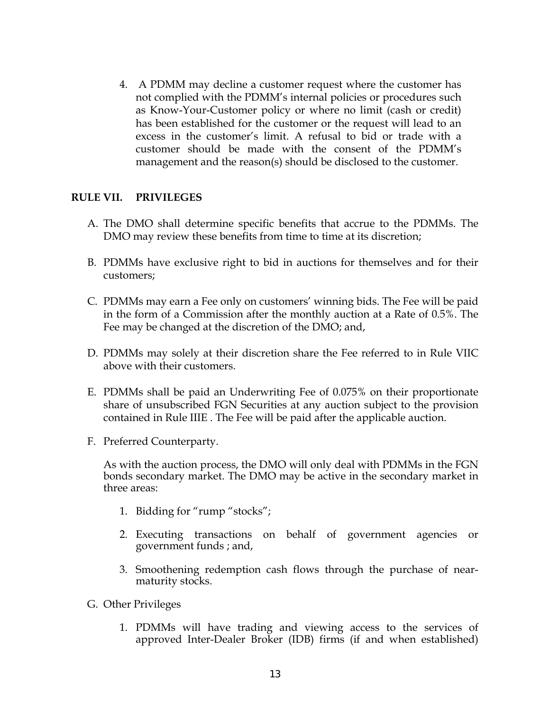4. A PDMM may decline a customer request where the customer has not complied with the PDMM's internal policies or procedures such as Know-Your-Customer policy or where no limit (cash or credit) has been established for the customer or the request will lead to an excess in the customer's limit. A refusal to bid or trade with a customer should be made with the consent of the PDMM's management and the reason(s) should be disclosed to the customer.

## **RULE VII. PRIVILEGES**

- A. The DMO shall determine specific benefits that accrue to the PDMMs. The DMO may review these benefits from time to time at its discretion;
- B. PDMMs have exclusive right to bid in auctions for themselves and for their customers;
- C. PDMMs may earn a Fee only on customers' winning bids. The Fee will be paid in the form of a Commission after the monthly auction at a Rate of 0.5%. The Fee may be changed at the discretion of the DMO; and,
- D. PDMMs may solely at their discretion share the Fee referred to in Rule VIIC above with their customers.
- E. PDMMs shall be paid an Underwriting Fee of 0.075% on their proportionate share of unsubscribed FGN Securities at any auction subject to the provision contained in Rule IIIE . The Fee will be paid after the applicable auction.
- F. Preferred Counterparty.

As with the auction process, the DMO will only deal with PDMMs in the FGN bonds secondary market. The DMO may be active in the secondary market in three areas:

- 1. Bidding for "rump "stocks";
- 2. Executing transactions on behalf of government agencies or government funds ; and,
- 3. Smoothening redemption cash flows through the purchase of nearmaturity stocks.
- G. Other Privileges
	- 1. PDMMs will have trading and viewing access to the services of approved Inter-Dealer Broker (IDB) firms (if and when established)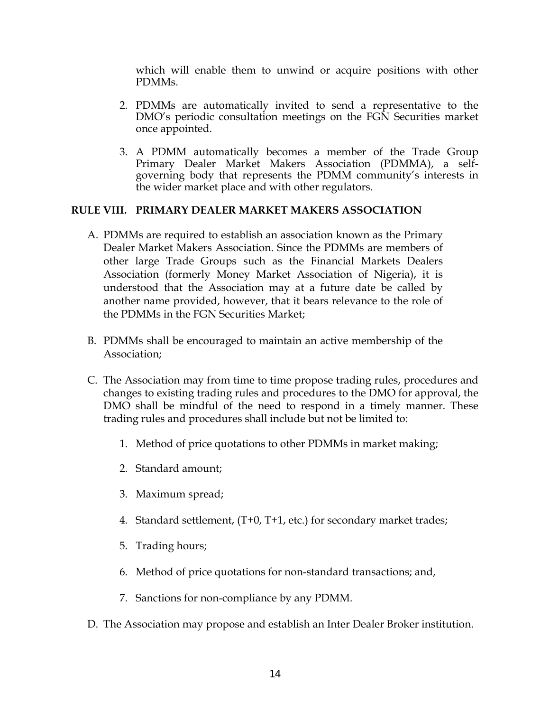which will enable them to unwind or acquire positions with other PDMMs.

- 2. PDMMs are automatically invited to send a representative to the DMO's periodic consultation meetings on the FGN Securities market once appointed.
- 3. A PDMM automatically becomes a member of the Trade Group Primary Dealer Market Makers Association (PDMMA), a selfgoverning body that represents the PDMM community's interests in the wider market place and with other regulators.

#### **RULE VIII. PRIMARY DEALER MARKET MAKERS ASSOCIATION**

- A. PDMMs are required to establish an association known as the Primary Dealer Market Makers Association. Since the PDMMs are members of other large Trade Groups such as the Financial Markets Dealers Association (formerly Money Market Association of Nigeria), it is understood that the Association may at a future date be called by another name provided, however, that it bears relevance to the role of the PDMMs in the FGN Securities Market;
- B. PDMMs shall be encouraged to maintain an active membership of the Association;
- C. The Association may from time to time propose trading rules, procedures and changes to existing trading rules and procedures to the DMO for approval, the DMO shall be mindful of the need to respond in a timely manner. These trading rules and procedures shall include but not be limited to:
	- 1. Method of price quotations to other PDMMs in market making;
	- 2. Standard amount;
	- 3. Maximum spread;
	- 4. Standard settlement, (T+0, T+1, etc.) for secondary market trades;
	- 5. Trading hours;
	- 6. Method of price quotations for non-standard transactions; and,
	- 7. Sanctions for non-compliance by any PDMM.
- D. The Association may propose and establish an Inter Dealer Broker institution.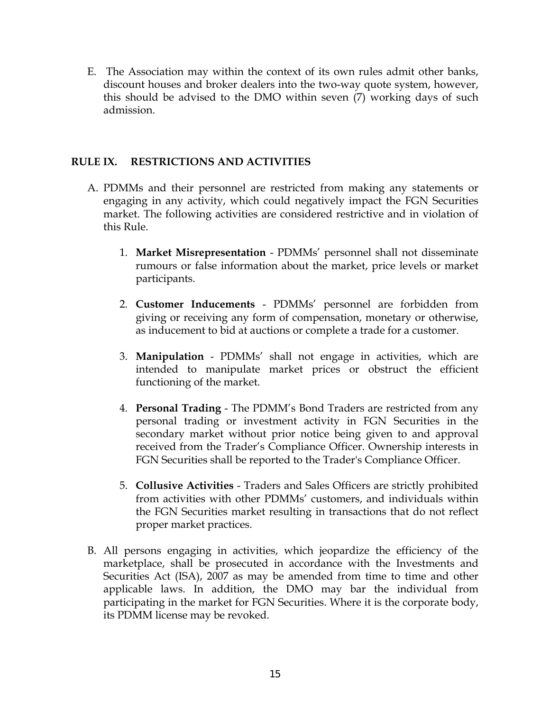E. The Association may within the context of its own rules admit other banks, discount houses and broker dealers into the two-way quote system, however, this should be advised to the DMO within seven (7) working days of such admission.

#### **RULE IX. RESTRICTIONS AND ACTIVITIES**

- A. PDMMs and their personnel are restricted from making any statements or engaging in any activity, which could negatively impact the FGN Securities market. The following activities are considered restrictive and in violation of this Rule.
	- 1. **Market Misrepresentation** PDMMs' personnel shall not disseminate rumours or false information about the market, price levels or market participants.
	- 2. **Customer Inducements** PDMMs' personnel are forbidden from giving or receiving any form of compensation, monetary or otherwise, as inducement to bid at auctions or complete a trade for a customer.
	- 3. **Manipulation** PDMMs' shall not engage in activities, which are intended to manipulate market prices or obstruct the efficient functioning of the market.
	- 4. **Personal Trading** The PDMM's Bond Traders are restricted from any personal trading or investment activity in FGN Securities in the secondary market without prior notice being given to and approval received from the Trader's Compliance Officer. Ownership interests in FGN Securities shall be reported to the Trader's Compliance Officer.
	- 5. **Collusive Activities** Traders and Sales Officers are strictly prohibited from activities with other PDMMs' customers, and individuals within the FGN Securities market resulting in transactions that do not reflect proper market practices.
- B. All persons engaging in activities, which jeopardize the efficiency of the marketplace, shall be prosecuted in accordance with the Investments and Securities Act (ISA), 2007 as may be amended from time to time and other applicable laws. In addition, the DMO may bar the individual from participating in the market for FGN Securities. Where it is the corporate body, its PDMM license may be revoked.